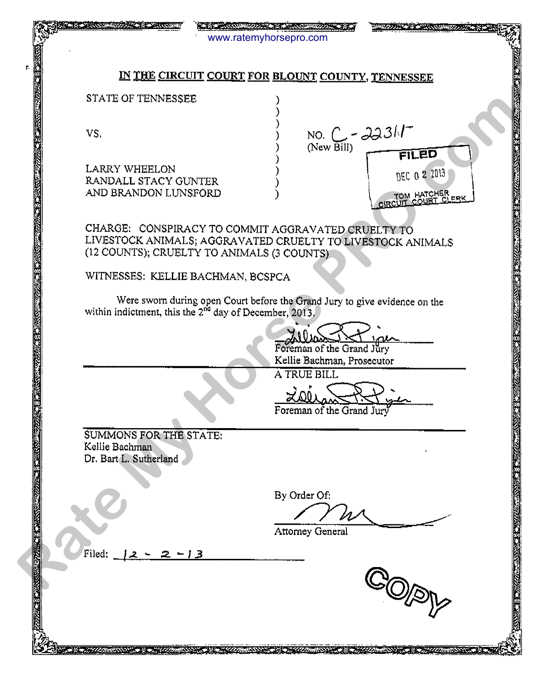| 主要 - 第六の重要な方法と公開                                                   | THE ACCOMMUZE TO FINISH MANAGEMENT OF<br><b>TAX SURGHUNG OR THE</b><br>www.ratemyhorsepro.com                                                                  |
|--------------------------------------------------------------------|----------------------------------------------------------------------------------------------------------------------------------------------------------------|
|                                                                    |                                                                                                                                                                |
|                                                                    | IN THE CIRCUIT COURT FOR BLOUNT COUNTY, TENNESSEE                                                                                                              |
| STATE OF TENNESSEE                                                 |                                                                                                                                                                |
| <b>BELOW MARKET MARKET MARKET MARKET MEDIAN ARTIST</b><br>VS.      | NO. $C - 2231T$<br>(New Bill)<br>FILED                                                                                                                         |
| <b>LARRY WHEELON</b><br>RANDALL STACY GUNTER                       | DEC 0 2 2013                                                                                                                                                   |
| AND BRANDON LUNSFORD                                               | TOM HATCHER<br>CIRCUIT COURT CLERK                                                                                                                             |
|                                                                    | CHARGE: CONSPIRACY TO COMMIT AGGRAVATED CRUELTY TO<br>LIVESTOCK ANIMALS; AGGRAVATED CRUELTY TO LIVESTOCK ANIMALS<br>(12 COUNTS); CRUELTY TO ANIMALS (3 COUNTS) |
| WITNESSES: KELLIE BACHMAN, BCSPCA                                  |                                                                                                                                                                |
|                                                                    | Were sworn during open Court before the Grand Jury to give evidence on the<br>within indictment, this the $2^{nd}$ day of December, 2013,                      |
|                                                                    | Foreman of the Grand Jury<br>Kellie Bachman, Prosecutor                                                                                                        |
|                                                                    | <b>A TRUE BILL</b>                                                                                                                                             |
| ₹.                                                                 | Foreman of the Grand Jury                                                                                                                                      |
| SUMMONS FOR THE STATE:<br>Kellie Bachman<br>Dr. Bart L. Sutherland |                                                                                                                                                                |
| 医心理学家的                                                             | By Order Of:                                                                                                                                                   |
|                                                                    | <b>Attorney General</b>                                                                                                                                        |
| 233334435<br>Filed:<br>-13<br>2                                    |                                                                                                                                                                |
|                                                                    |                                                                                                                                                                |
|                                                                    |                                                                                                                                                                |
| ミニ <u>ングイングを出さささいよう ミニューショングループ</u>                                |                                                                                                                                                                |

Ñ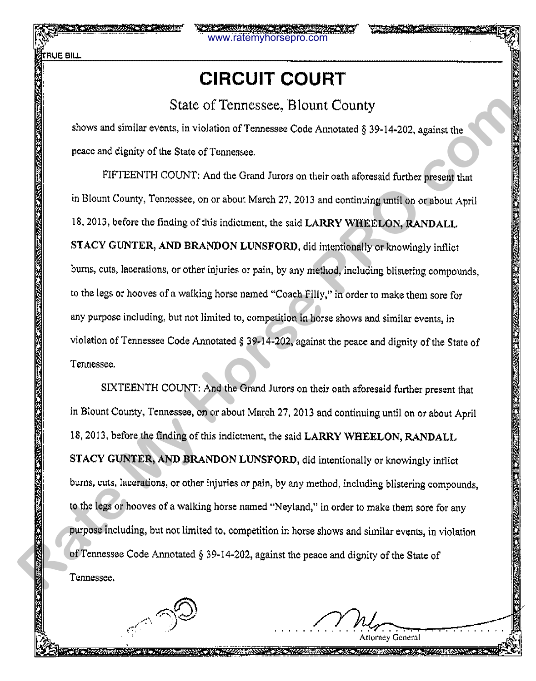# **CIRCUIT COURT**

www.ratemyhorsepro.com

#### State of Tennessee, Blount County

shows and similar events, in violation of Tennessee Code Annotated§ 39-14·202, against the peace and dignity of the State of Tennessee.

FIFTEENTH COUNT: And the Grand Jurors on their oath aforesaid further present that in Blount County, Tennessee, on or about March 27, 2013 and continuing until on or about April 18,2013, before the finding of this indictment, the said LARRY WHEELON, RANDALL STACY GUNTER, AND BRANDON LUNSFORD, did intentionally or knowingly inflict bums, cuts, lacerations, or other injuries or pain, by any method, including blistering compounds, to the legs or hooves of a walking horse named "Coach Filly," in order to make them sore for any purpose including, but not limited to, competition in horse shows and similar events, in violation of Tennessee Code Annotated§ 39-14-202, against the peace and dignity of the State of Tennessee. State of Tennessee, Blount County<br>
Relows and similar events, in violation of Tennessee Code Annotated § 39-14-202, against the<br>
Preservant dignity of the State of Tennesse.<br>
THETENTH COUNT: And the Grand Juvers on their c

SIXTEENTH COUNT: And the Grand Jurors on their oath aforesaid further present that in Blount County, Tennessee, on or about March 27, 2013 and continuing until on or about April 18,2013, before the finding of this indictment, the said LARRY WHEELON, RANDALL STACY GUNTER, AND BRANDON LUNSFORD, did intentionally or knowingly inflict bums, cuts, lacerations, or other injuries or pain, by any method, including blistering compounds, to the legs or hooves of a walking horse named "Neyland," in order to make them sore for any purpose including, but not limited to, competition in horse shows and similar events, in violation of Tennessee Code Annotated§ 39-14-202, against the peace and dignity of the State of Tennessee.

> Attorney General **New York Management Company of Service**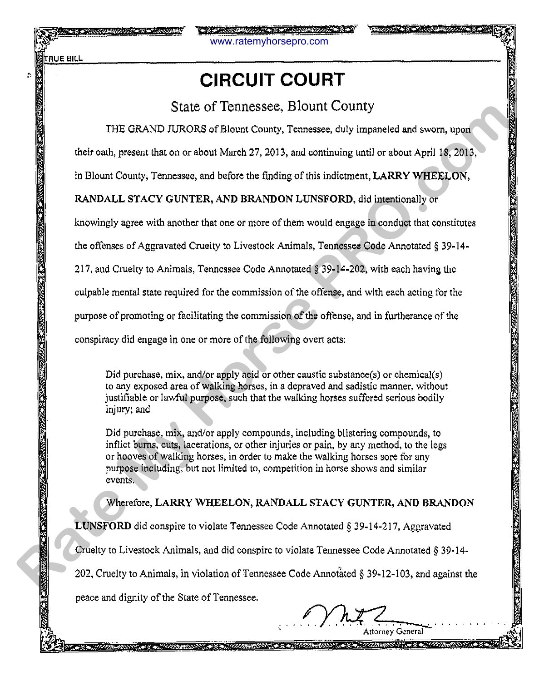ŗ.

www.ratemyhorsepro.com

# **CIRCUIT COURT**

### State of Tennessee, Blount County

THE GRAND JURORS of Blount County, Tennessee, duly impaneled and sworn, upon

their oath, present that on or about March 27, 2013, and continuing until or about April 18, 2013,

in Blount County, Tennessee, and before the finding of this indictment, LARRY WHEELON,

#### RANDALL STACY GUNTER, AND BRANDON LUNSFORD, did intentionally or

knowingly agree with another that one or more of them would engage in conduct that constitutes

the offenses of Aggravated Cruelty to Livestock Animals, Tennessee Code Annotated § 39-14-

217, and Cruelty to Animals, Tennessee Code Annotated *§* 39-14-202, with each having the

culpable mental state required for the commission of the offense, and with each acting for the

purpose of promoting or facilitating the commission of the offense, and in furtherance of the

conspiracy did engage in one or more of the following overt acts:

Did purchase, mix, and/or apply acid or other caustic substance(s) or chemical(s) to any exposed area of walking horses, in a depraved and sadistic manner, without justifiable or lawful purpose, such that the walking horses suffered serious bodily injury; and

Did purchase, mix, and/or apply compounds, including blistering compounds, to inflict burns, cuts, lacerations, or other injuries or pain, by any method, to the legs or hooves of walking horses, in order to make the walking horses sore for any purpose including, but not limited to, competition in horse shows and similar events. State of Tennessee, Blount Country<br>
THE GRAND JURORS of Bloom Country Temassee, duly impeneded and sworn, upon<br>
their onth, present that on or about Media 27, 2013, and continuing until or about April 18, 2013.<br>
in Blount

Wherefore, LARRY WHEELON, RANDALL STACY GUNTER, AND BRANDON

LUNSFORD did conspire to violate Tennessee Code Annotated§ 39-14-217, Aggravated

Cruelty to Livestock Animals, and did conspire to violate Tennessee Code Annotated§ 39-14-

202, Cruelty to Animals, in violation of Tennessee Code Annotated§ 39-12-103, and against the

peace and dignity of the State of Tennessee.

A STATISTICAL COMMUNISTIC AND RELATIONS OF THE RELATIONS OF THE RELATIONS OF THE RELATIONS OF THE RELATIONS OF

Attorney General SS CONFIDENTIAL COMMUNICATION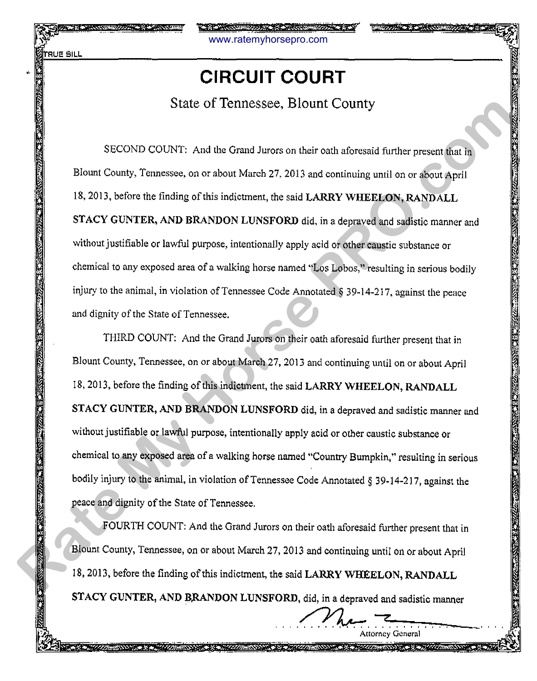www.ratemyhorsepro.com

# • **CIRCUIT COURT**

State of Tennessee, Blount County

SECOND COUNT: And the Grand Jurors on their oath aforesaid further present that in Blount County, Tennessee, on or about March 27, 2013 and continuing until on or about April 18, 2013, before the finding of this indictment, the said LARRY WHEELON, RANDALL STACY GUNTER, AND BRANDON LUNSFORD did, in a depraved and sadistic manner and without justifiable or lawful purpose, intentionally apply acid or other caustic substance or chemical to any exposed area of a walking horse named "Los Lobos," resulting in serious bodily injury to the animal, in violation of Tennessee Code Annotated§ 39-14-217, against the peace and dignity of the State of Tennessee.

THIRD COUNT: And the Grand Jurors on their oath aforesaid further present that in Blount County, Tennessee, on or about March 27, 2013 and continuing until on or about April 18,2013, before the finding of this indictment, the said LARRY WHEELON, RANDALL STACY GUNTER, AND BRANDON LUNSFORD did, in a depraved and sadistic manner and without justifiable or lawful purpose, intentionally apply acid or other caustic substance or chemical to any exposed area of a walking horse named "Country Bumpkin," resulting in serious bodily injury to the animal, in violation of Tennessee Code Annotated§ 39-14-217, against the peace and dignity of the State of Tennessee. Slate OT Lennessee, Bloom1 Country<br>
SECOND COUNT: And the Grand Jeros on their cash aftereasid further present funch<br>
Reform County, Tennessee, on or about March 27, 2013 and continering until on or about April<br>
18, 2013,

FOURTH COUNT: And the Grand Jurors on their oath aforesaid further present that in Blount County, Tennessee, on or about March 27, 2013 and continuing until on or about April 18, 2013, before the finding of this indictment, the said LARRY WHEELON, RANDALL STACY GUNTER, AND BRANDON LUNSFORD, did, in a depraved and sadistic manner

Me Attorney General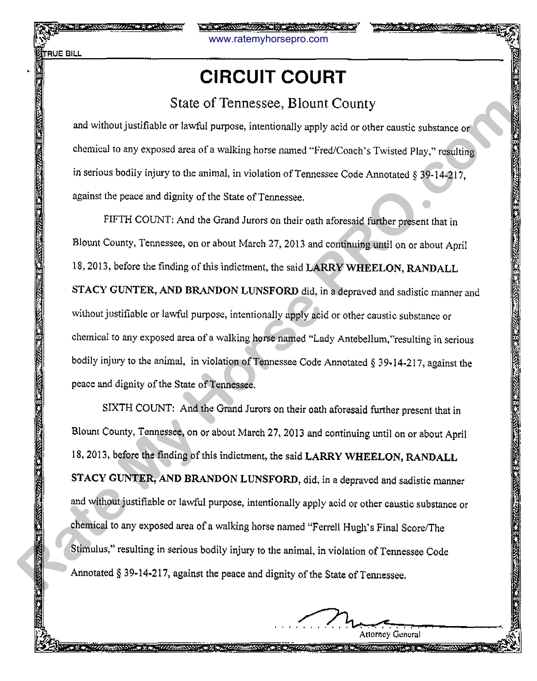www.ratemyhorsepro.com

# **CIRCUIT COURT**

#### State of Tennessee, Blount County

and without justifiable or lawful purpose, intentionally apply acid or other caustic substance or chemical to any exposed area of a walking horse named "Fred/Coach's Twisted Play," resulting in serious bodily injury to the animal, in violation of Tennessee Code Annotated § 39-14-217. against the peace and dignity of the State of Tennessee.

FIFTH COUNT: And the Grand Jurors on their oath aforesaid further present that in Blount County, Tennessee, on or about March 27, 2013 and continuing until on or about April 18,2013, before the finding of this indictment, the said LARRY WHEELON, RANDALL STACY GUNTER, AND BRANDON LUNSFORD did, in a depraved and sadistic manner and without justifiable or lawful purpose, intentionally apply acid or other caustic substance or chemical to any exposed area of a walking horse named "Lady Antebellum,"resulting in serious bodily injury to the animal, in violation of Tennessee Code Annotated § 39-14-217, against the peace and dignity of the State of Tennessee. State of Termessee, Blount Countty<br>and without justifable or lawful rangose, intentionally apply solid or other cauntic substance or<br>thermical to any crossed area of a walking loose named "FreeZ-Coach's Twisted Pluy," resu

SIXTH COUNT: And the Grand Jurors on their oath aforesaid further present that in Blount County, Tennessee, on or about March 27, 2013 and continuing until on or about April 18, 2013, before the finding of this indictment, the said LARRY WHEELON, RANDALL STACY GUNTER, AND BRANDON LUNSFORD, did, in a depraved and sadistic manner and without justifiable or lawful purpose, intentionally apply acid or other caustic substance or chemical to any exposed area of a walking horse named "Ferrell Hugh's Final Score/The Stimulus," resulting in serious bodily injury to the animal, in violation of Tennessee Code Annotated§ 39-14·217, against the peace and dignity of the State of Tennessee.

Attorney General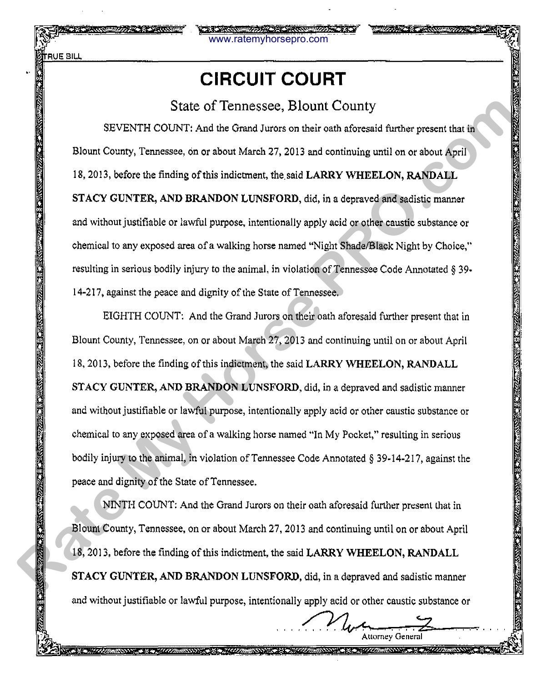**FRUE BILL** 

::.'!!

### **CIRCUIT COURT**

www.ratemyhorsepro.com

#### State of Tennessee, Blount County

SEVENTH COUNT: And the Grand Jurors on their oath aforesaid further present that in Blount County, Tennessee, on or about March 27, 2013 and continuing until on or about April 18, 2013, before the finding of this indictment, the said LARRY WHEELON, RANDALL STACY GUNTER, AND BRANDON LUNSFORD, did, in a depraved and sadistic manner and without justifiable or lawful purpose, intentionally apply acid or other caustic substance or chemical to any exposed area of a walking horse named "Night Shade/Black Night by Choice," resulting in serious bodily injury to the animal, in violation of Tennessee Code Annotated § 39· 14-217, against the peace and dignity of the State of Tennessee. State of Tennessee, Blount Country<br>
SEVENTI COUNT: And the Grand Aveces on their oath aforesaid further present that is<br>
Blourt County, Transcess, on or a boot March 21, 2013 and continuing until on or about April<br>
18, 201

EIGHTH COUNT: And the Grand Jurors on their oath aforesaid further present that in Blount County, Tennessee, on or about March 27, 2013 and continuing until on or about April 18, 2013, before the finding of this indictment, the said LARRY WHEELON, RANDALL STACY GUNTER, AND BRANDON LUNSFORD, did, in a depraved and sadistic manner and without justifiable or lawful purpose, intentionally apply acid or other caustic substance or chemical to any exposed area of a walking horse named "In My Pocket," resulting in serious bodily injury to the animal, in violation of Tennessee Code Annotated§ 39-14-217, against the peace and dignity of the State of Tennessee.

NINTH COUNT: And the Grand Jurors on their oath aforesaid further present that in Blount County, Tennessee, on or about March 27, 2013 and continuing until on or about April 18, 2013, before the finding of this indictment, the said LARRY WHEELON, RANDALL STACY GUNTER, AND BRANDON LUNSFORD, did, in a depraved and sadistic manner and without justifiable or lawful purpose, intentionally apply acid or other caustic substance or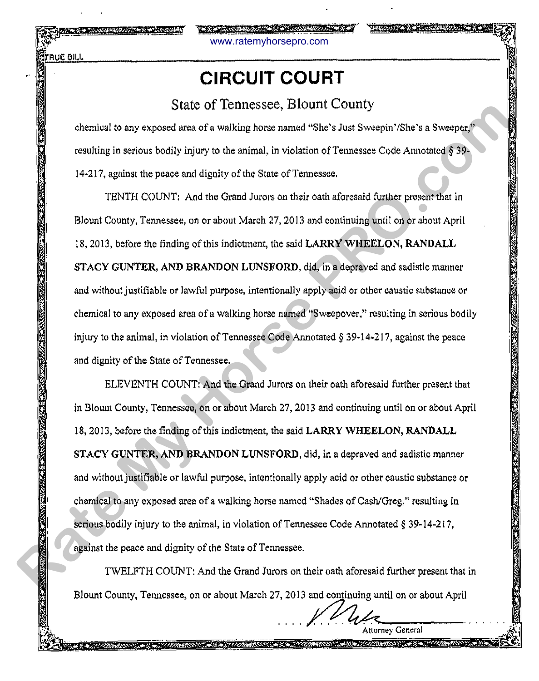www.ratemyhorsepro.com

### **CIRCUIT COURT**

### State of Tennessee, Blount County

chemical to any exposed area of a walking horse named "She's Just Sweepin' /She's a Sweeper," resulting in serious bodily injury to the animal, in violation of Tennessee Code Annotated § 39· 14·217, against the peace and dignity of the State of Tennessee.

TENTH COUNT: And the Grand Jurors on their oath aforesaid further present that in Blount County, Tennessee, on or about March 27, 2013 and continuing until on or about April 18, 2013, before the finding of this indictment, the said LARRY WHEELON, RANDALL STACY GUNTER, AND BRANDON LUNSFORD, did, in a depraved and sadistic manner and without justifiable or lawful purpose, intentionally apply acid or other caustic substance or chemical to any exposed area of a walking horse named "Sweepover," resulting in serious bodily injury to the animal, in violation of Tennessee Code Annotated§ 39·14·217, against the peace and dignity of the State of Tennessee.

ELEVENTH COUNT: And the Grand Jurors on their oath aforesaid further present that in Blount County, Tennessee, on or about March 27,2013 and continuing until on or about April 18, 2013, before the finding of this indictment, the said LARRY WHEELON, RANDALL STACY GUNTER, AND BRANDON LUNSFORD, did, in a depraved and sadistic manner and without justifiable or lawful purpose, intentionally apply acid or other caustic substance or chemical to any exposed area of a walking horse named "Shades of Cash/Greg," resulting in serious bodily injury to the animal, in violation of Tennessee Code Annotated § 39-14-217, against the peace and dignity of the State of Tennessee. STATE OF LETTIFISION and variable of Termssee, CHOMITY COUNTIES.<br>
Resulting in serious bodily injvary to the animal, in violation of Temessee Code Amotated § 39-<br>
14-217, against the peace and dignity of the State of Temes

TWELFTH COUNT: And the Grand Jurors on their oath aforesaid further present that in Blount County, Tennessee, on or about March 27, 2013 and continuing until on or about April

**Attorney General**